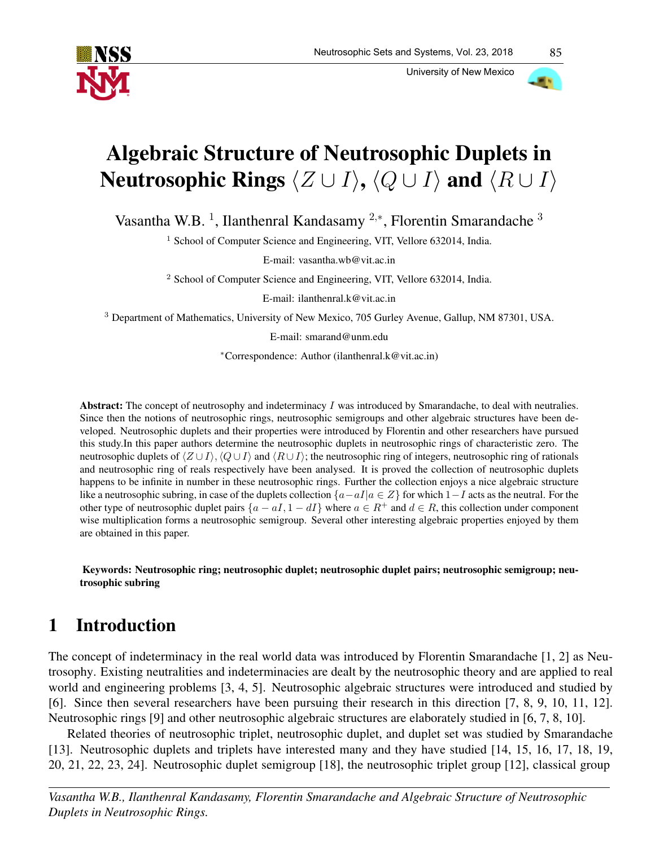

University of New Mexico

# Algebraic Structure of Neutrosophic Duplets in Neutrosophic Rings  $\langle Z \cup I \rangle$ ,  $\langle Q \cup I \rangle$  and  $\langle R \cup I \rangle$

Vasantha W.B.<sup>1</sup>, Ilanthenral Kandasamy<sup>2,\*</sup>, Florentin Smarandache<sup>3</sup>

<sup>1</sup> School of Computer Science and Engineering, VIT, Vellore 632014, India.

E-mail: vasantha.wb@vit.ac.in

<sup>2</sup> School of Computer Science and Engineering, VIT, Vellore 632014, India.

E-mail: ilanthenral.k@vit.ac.in

<sup>3</sup> Department of Mathematics, University of New Mexico, 705 Gurley Avenue, Gallup, NM 87301, USA.

E-mail: smarand@unm.edu

<sup>∗</sup>Correspondence: Author (ilanthenral.k@vit.ac.in)

Abstract: The concept of neutrosophy and indeterminacy I was introduced by Smarandache, to deal with neutralies. Since then the notions of neutrosophic rings, neutrosophic semigroups and other algebraic structures have been developed. Neutrosophic duplets and their properties were introduced by Florentin and other researchers have pursued this study.In this paper authors determine the neutrosophic duplets in neutrosophic rings of characteristic zero. The neutrosophic duplets of  $\langle Z \cup I \rangle$ ,  $\langle Q \cup I \rangle$  and  $\langle R \cup I \rangle$ ; the neutrosophic ring of integers, neutrosophic ring of rationals and neutrosophic ring of reals respectively have been analysed. It is proved the collection of neutrosophic duplets happens to be infinite in number in these neutrosophic rings. Further the collection enjoys a nice algebraic structure like a neutrosophic subring, in case of the duplets collection  ${a-aI|a \in Z}$  for which  $1-I$  acts as the neutral. For the other type of neutrosophic duplet pairs  $\{a - aI, 1 - dI\}$  where  $a \in R^+$  and  $d \in R$ , this collection under component wise multiplication forms a neutrosophic semigroup. Several other interesting algebraic properties enjoyed by them are obtained in this paper.

Keywords: Neutrosophic ring; neutrosophic duplet; neutrosophic duplet pairs; neutrosophic semigroup; neutrosophic subring

# 1 Introduction

The concept of indeterminacy in the real world data was introduced by Florentin Smarandache [1, 2] as Neutrosophy. Existing neutralities and indeterminacies are dealt by the neutrosophic theory and are applied to real world and engineering problems [3, 4, 5]. Neutrosophic algebraic structures were introduced and studied by [6]. Since then several researchers have been pursuing their research in this direction [7, 8, 9, 10, 11, 12]. Neutrosophic rings [9] and other neutrosophic algebraic structures are elaborately studied in [6, 7, 8, 10].

Related theories of neutrosophic triplet, neutrosophic duplet, and duplet set was studied by Smarandache [13]. Neutrosophic duplets and triplets have interested many and they have studied [14, 15, 16, 17, 18, 19, 20, 21, 22, 23, 24]. Neutrosophic duplet semigroup [18], the neutrosophic triplet group [12], classical group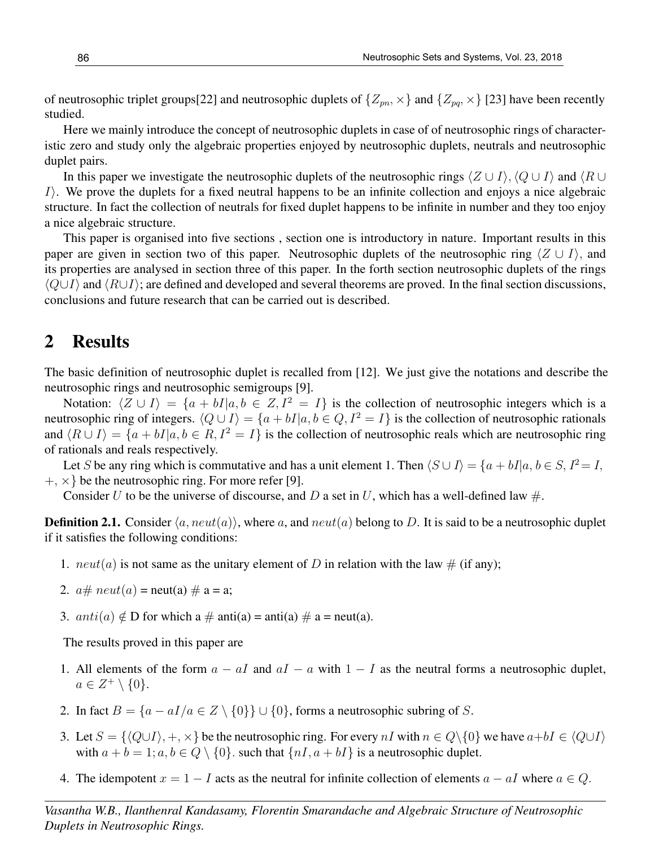of neutrosophic triplet groups[22] and neutrosophic duplets of  $\{Z_{pn},\times\}$  and  $\{Z_{po},\times\}$  [23] have been recently studied.

Here we mainly introduce the concept of neutrosophic duplets in case of of neutrosophic rings of characteristic zero and study only the algebraic properties enjoyed by neutrosophic duplets, neutrals and neutrosophic duplet pairs.

In this paper we investigate the neutrosophic duplets of the neutrosophic rings  $\langle Z \cup I \rangle$ ,  $\langle Q \cup I \rangle$  and  $\langle R \cup I \rangle$  $I$ ). We prove the duplets for a fixed neutral happens to be an infinite collection and enjoys a nice algebraic structure. In fact the collection of neutrals for fixed duplet happens to be infinite in number and they too enjoy a nice algebraic structure.

This paper is organised into five sections , section one is introductory in nature. Important results in this paper are given in section two of this paper. Neutrosophic duplets of the neutrosophic ring  $\langle Z \cup I \rangle$ , and its properties are analysed in section three of this paper. In the forth section neutrosophic duplets of the rings  $\langle Q \cup I \rangle$  and  $\langle R \cup I \rangle$ ; are defined and developed and several theorems are proved. In the final section discussions, conclusions and future research that can be carried out is described.

#### 2 Results

The basic definition of neutrosophic duplet is recalled from [12]. We just give the notations and describe the neutrosophic rings and neutrosophic semigroups [9].

Notation:  $\langle Z \cup I \rangle = \{a + bI | a, b \in Z, I^2 = I\}$  is the collection of neutrosophic integers which is a neutrosophic ring of integers.  $\langle Q \cup I \rangle = \{a + bI | a, b \in Q, I^2 = I\}$  is the collection of neutrosophic rationals and  $\langle R \cup I \rangle = \{a + bI | a, b \in R, I^2 = I\}$  is the collection of neutrosophic reals which are neutrosophic ring of rationals and reals respectively.

Let S be any ring which is commutative and has a unit element 1. Then  $\langle S \cup I \rangle = \{a + bI | a, b \in S, I^2 = I,$  $+, \times\}$  be the neutrosophic ring. For more refer [9].

Consider U to be the universe of discourse, and D a set in U, which has a well-defined law  $\#$ .

**Definition 2.1.** Consider  $\langle a, neut(a) \rangle$ , where a, and neut(a) belong to D. It is said to be a neutrosophic duplet if it satisfies the following conditions:

- 1.  $neut(a)$  is not same as the unitary element of D in relation with the law  $\#$  (if any);
- 2.  $a \# \text{neut}(a) = \text{neut}(a) \# a = a;$
- 3.  $anti(a) \notin D$  for which a  $\#$  anti(a) = anti(a)  $\#$  a = neut(a).

The results proved in this paper are

- 1. All elements of the form  $a aI$  and  $aI a$  with  $1 I$  as the neutral forms a neutrosophic duplet,  $a \in Z^+ \setminus \{0\}.$
- 2. In fact  $B = \{a aI/a \in Z \setminus \{0\}\}\cup \{0\}$ , forms a neutrosophic subring of S.
- 3. Let  $S = \{Q \cup I\}, +, \times\}$  be the neutrosophic ring. For every nI with  $n \in Q\backslash\{0\}$  we have  $a+bI \in \langle Q \cup I \rangle$ with  $a + b = 1$ ;  $a, b \in Q \setminus \{0\}$ . such that  $\{nI, a + bI\}$  is a neutrosophic duplet.
- 4. The idempotent  $x = 1 I$  acts as the neutral for infinite collection of elements  $a aI$  where  $a \in Q$ .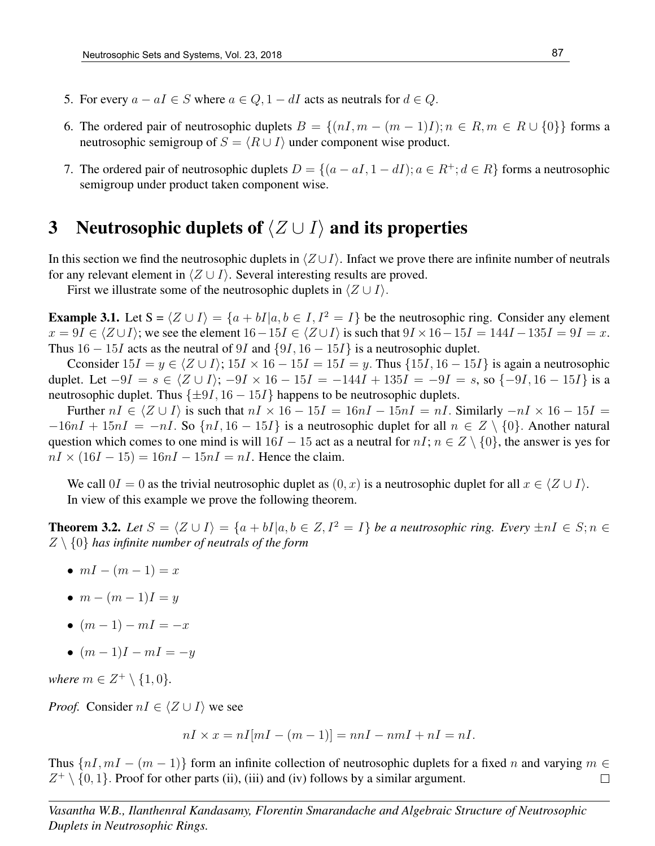- 5. For every  $a aI \in S$  where  $a \in Q$ ,  $1 dI$  acts as neutrals for  $d \in Q$ .
- 6. The ordered pair of neutrosophic duplets  $B = \{(nI, m (m 1)I); n \in R, m \in R \cup \{0\}\}\)$  forms a neutrosophic semigroup of  $S = \langle R \cup I \rangle$  under component wise product.
- 7. The ordered pair of neutrosophic duplets  $D = \{(a aI, 1 dI); a \in R^+; d \in R\}$  forms a neutrosophic semigroup under product taken component wise.

#### 3 Neutrosophic duplets of  $\langle Z \cup I \rangle$  and its properties

In this section we find the neutrosophic duplets in  $\langle Z \cup I \rangle$ . Infact we prove there are infinite number of neutrals for any relevant element in  $\langle Z \cup I \rangle$ . Several interesting results are proved.

First we illustrate some of the neutrosophic duplets in  $\langle Z \cup I \rangle$ .

**Example 3.1.** Let  $S = \langle Z \cup I \rangle = \{a + bI | a, b \in I, I^2 = I\}$  be the neutrosophic ring. Consider any element  $x = 9I \in \langle Z \cup I \rangle$ ; we see the element  $16-15I \in \langle Z \cup I \rangle$  is such that  $9I \times 16-15I = 144I - 135I = 9I = x$ . Thus  $16 - 15I$  acts as the neutral of 9I and  $\{9I, 16 - 15I\}$  is a neutrosophic duplet.

Cconsider  $15I = y \in \langle Z \cup I \rangle$ ;  $15I \times 16 - 15I = 15I = y$ . Thus  $\{15I, 16 - 15I\}$  is again a neutrosophic duplet. Let  $-9I = s \in \langle Z \cup I \rangle$ ;  $-9I \times 16 - 15I = -144I + 135I = -9I = s$ , so  $\{-9I, 16 - 15I\}$  is a neutrosophic duplet. Thus  $\{\pm 9I, 16 - 15I\}$  happens to be neutrosophic duplets.

Further  $nI \in \langle Z \cup I \rangle$  is such that  $nI \times 16 - 15I = 16nI - 15nI = nI$ . Similarly  $-nI \times 16 - 15I =$  $-16nI + 15nI = -nI$ . So  $\{nI, 16 - 15I\}$  is a neutrosophic duplet for all  $n \in Z \setminus \{0\}$ . Another natural question which comes to one mind is will  $16I - 15$  act as a neutral for  $nI$ ;  $n \in Z \setminus \{0\}$ , the answer is yes for  $nI \times (16I - 15) = 16nI - 15nI = nI$ . Hence the claim.

We call  $0I = 0$  as the trivial neutrosophic duplet as  $(0, x)$  is a neutrosophic duplet for all  $x \in \langle Z \cup I \rangle$ . In view of this example we prove the following theorem.

**Theorem 3.2.** Let  $S = \langle Z \cup I \rangle = \{a + bI | a, b \in Z, I^2 = I\}$  *be a neutrosophic ring. Every*  $\pm nI \in S; n \in \mathbb{Z}$ Z \ {0} *has infinite number of neutrals of the form*

- $mI (m 1) = x$
- $m (m 1)I = y$
- $(m-1) mI = -x$
- $(m-1)I mI = -y$

*where*  $m \in Z^+ \setminus \{1, 0\}$ *.* 

*Proof.* Consider  $nI \in \langle Z \cup I \rangle$  we see

$$
nI \times x = nI[mI - (m-1)] = nnI - nmI + nI = nI.
$$

Thus  $\{nI, mI - (m-1)\}\$ form an infinite collection of neutrosophic duplets for a fixed n and varying  $m \in$  $Z^+ \setminus \{0, 1\}$ . Proof for other parts (ii), (iii) and (iv) follows by a similar argument.  $\Box$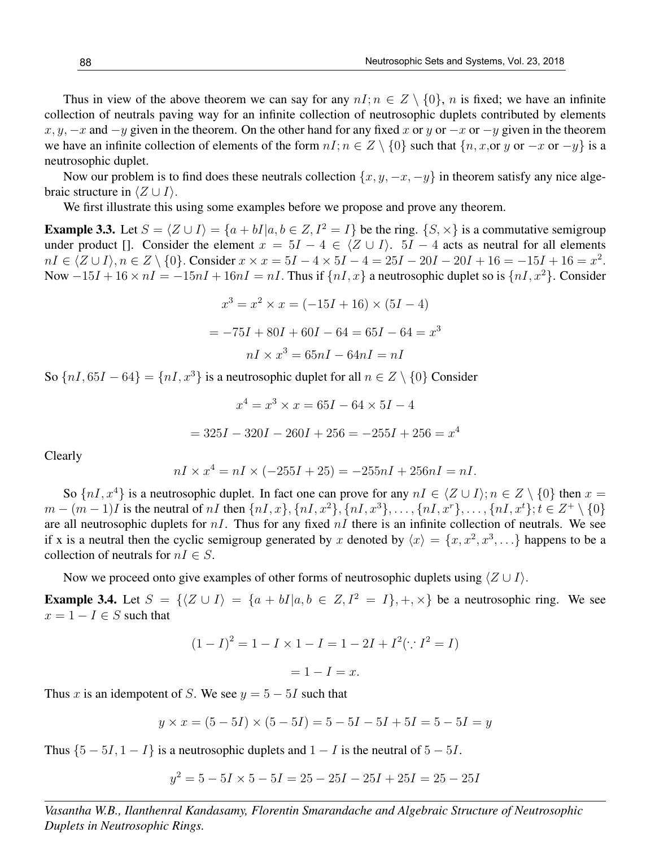Thus in view of the above theorem we can say for any  $nI; n \in \mathbb{Z} \setminus \{0\}$ , n is fixed; we have an infinite collection of neutrals paving way for an infinite collection of neutrosophic duplets contributed by elements  $x, y, -x$  and  $-y$  given in the theorem. On the other hand for any fixed x or y or  $-x$  or  $-y$  given in the theorem we have an infinite collection of elements of the form  $nI; n \in \mathbb{Z} \setminus \{0\}$  such that  $\{n, x, or y \text{ or } -x \text{ or } -y\}$  is a neutrosophic duplet.

Now our problem is to find does these neutrals collection  $\{x, y, -x, -y\}$  in theorem satisfy any nice algebraic structure in  $\langle Z \cup I \rangle$ .

We first illustrate this using some examples before we propose and prove any theorem.

**Example 3.3.** Let  $S = \langle Z \cup I \rangle = \{a + bI | a, b \in Z, I^2 = I\}$  be the ring.  $\{S, \times\}$  is a commutative semigroup under product []. Consider the element  $x = 5I - 4 \in \langle Z \cup I \rangle$ .  $5I - 4$  acts as neutral for all elements  $nI \in \langle Z \cup I \rangle, n \in Z \setminus \{0\}.$  Consider  $x \times x = 5I - 4 \times 5I - 4 = 25I - 20I - 20I + 16 = -15I + 16 = x^2$ . Now  $-15I + 16 \times nI = -15nI + 16nI = nI$ . Thus if  ${nI, x}$  a neutrosophic duplet so is  ${nI, x^2}$ . Consider

$$
x^{3} = x^{2} \times x = (-15I + 16) \times (5I - 4)
$$

$$
= -75I + 80I + 60I - 64 = 65I - 64 = x^{3}
$$

$$
nI \times x^{3} = 65nI - 64nI = nI
$$

So  ${nI, 65I - 64} = {nI, x<sup>3</sup>}$  is a neutrosophic duplet for all  $n \in Z \setminus \{0\}$  Consider

$$
x^{4} = x^{3} \times x = 65I - 64 \times 5I - 4
$$

$$
= 325I - 320I - 260I + 256 = -255I + 256 = x^{4}
$$

Clearly

$$
nI \times x^4 = nI \times (-255I + 25) = -255nI + 256nI = nI.
$$

So  $\{nI, x^4\}$  is a neutrosophic duplet. In fact one can prove for any  $nI \in \{Z \cup I\}$ ;  $n \in Z \setminus \{0\}$  then  $x =$  $m - (m - 1)I$  is the neutral of nI then  $\{nI, x\}$ ,  $\{nI, x^2\}$ ,  $\{nI, x^3\}$ , ...,  $\{nI, x^r\}$ , ...,  $\{nI, x^t\}$ ;  $t \in Z^+ \setminus \{0\}$ are all neutrosophic duplets for  $nI$ . Thus for any fixed  $nI$  there is an infinite collection of neutrals. We see if x is a neutral then the cyclic semigroup generated by x denoted by  $\langle x \rangle = \{x, x^2, x^3, \ldots\}$  happens to be a collection of neutrals for  $nI \in S$ .

Now we proceed onto give examples of other forms of neutrosophic duplets using  $\langle Z \cup I \rangle$ .

**Example 3.4.** Let  $S = \{(Z \cup I) = \{a + bI | a, b \in Z, I^2 = I\}, +, \times\}$  be a neutrosophic ring. We see  $x = 1 - I \in S$  such that

$$
(1 - I)^2 = 1 - I \times 1 - I = 1 - 2I + I^2(\because I^2 = I)
$$

 $= 1 - I = x.$ 

Thus x is an idempotent of S. We see  $y = 5 - 5I$  such that

$$
y \times x = (5 - 5I) \times (5 - 5I) = 5 - 5I - 5I + 5I = 5 - 5I = y
$$

Thus  $\{5 - 5I, 1 - I\}$  is a neutrosophic duplets and  $1 - I$  is the neutral of  $5 - 5I$ .

$$
y^2 = 5 - 5I \times 5 - 5I = 25 - 25I - 25I + 25I = 25 - 25I
$$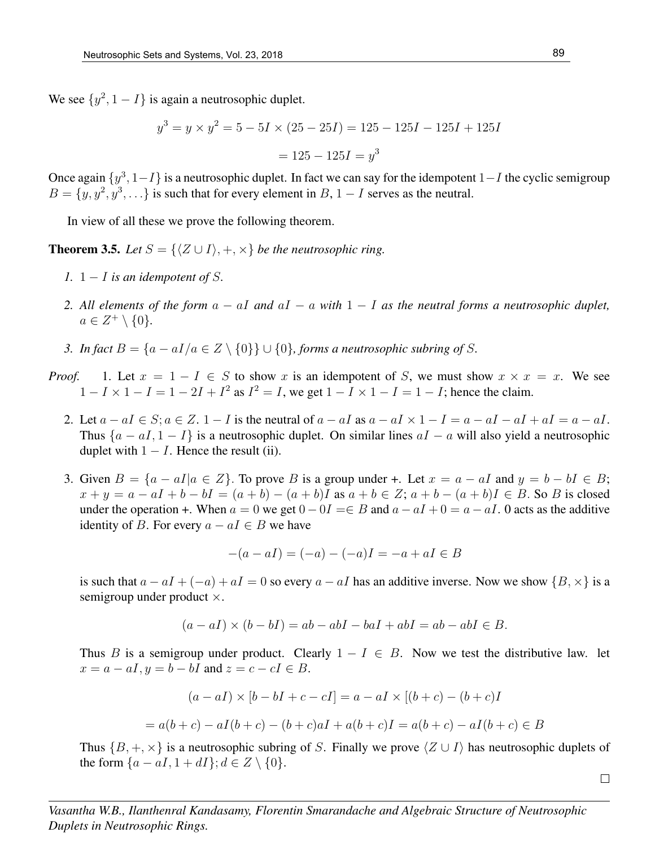We see  $\{y^2, 1 - I\}$  is again a neutrosophic duplet.

$$
y^3 = y \times y^2 = 5 - 5I \times (25 - 25I) = 125 - 125I - 125I + 125I
$$

$$
= 125 - 125I = y^3
$$

Once again  $\{y^3, 1-I\}$  is a neutrosophic duplet. In fact we can say for the idempotent  $1-I$  the cyclic semigroup  $B = \{y, y^2, y^3, \ldots\}$  is such that for every element in B, 1 – I serves as the neutral.

In view of all these we prove the following theorem.

**Theorem 3.5.** *Let*  $S = \{ \langle Z \cup I \rangle, +, \times \}$  *be the neutrosophic ring.* 

- *1.*  $1 I$  *is an idempotent of* S.
- *2. All elements of the form* a − aI *and* aI − a *with* 1 − I *as the neutral forms a neutrosophic duplet,*  $a \in Z^+ \setminus \{0\}.$
- *3. In fact*  $B = \{a aI/a \in Z \setminus \{0\}\} \cup \{0\}$ , forms a neutrosophic subring of S.
- *Proof.* 1. Let  $x = 1 I \in S$  to show x is an idempotent of S, we must show  $x \times x = x$ . We see  $1 - I \times 1 - I = 1 - 2I + I^2$  as  $I^2 = I$ , we get  $1 - I \times 1 - I = 1 - I$ ; hence the claim.
	- 2. Let  $a aI \in S$ ;  $a \in Z$ .  $1 I$  is the neutral of  $a aI$  as  $a aI \times 1 I = a aI aI + aI = a aI$ . Thus  ${a - aI, 1 - I}$  is a neutrosophic duplet. On similar lines  $aI - a$  will also yield a neutrosophic duplet with  $1 - I$ . Hence the result (ii).
	- 3. Given  $B = \{a aI | a \in \mathbb{Z}\}\.$  To prove B is a group under +. Let  $x = a aI$  and  $y = b bI \in \mathbb{B}\.$  $x + y = a - aI + b - bI = (a + b) - (a + b)I$  as  $a + b \in Z$ ;  $a + b - (a + b)I \in B$ . So B is closed under the operation +. When  $a = 0$  we get  $0 - 0I = \in B$  and  $a - aI + 0 = a - aI$ . O acts as the additive identity of B. For every  $a - aI \in B$  we have

$$
-(a - aI) = (-a) - (-a)I = -a + aI \in B
$$

is such that  $a - aI + (-a) + aI = 0$  so every  $a - aI$  has an additive inverse. Now we show  $\{B, \times\}$  is a semigroup under product  $\times$ .

$$
(a - aI) \times (b - bI) = ab - abI - baI + abI = ab - abI \in B.
$$

Thus B is a semigroup under product. Clearly  $1 - I \in B$ . Now we test the distributive law. let  $x = a - aI, y = b - bI$  and  $z = c - cI \in B$ .

$$
(a - aI) \times [b - bI + c - cI] = a - aI \times [(b + c) - (b + c)I]
$$

$$
= a(b + c) - aI(b + c) - (b + c)aI + a(b + c)I = a(b + c) - aI(b + c) \in B
$$

Thus  $\{B, +, \times\}$  is a neutrosophic subring of S. Finally we prove  $\langle Z \cup I \rangle$  has neutrosophic duplets of the form  $\{a - aI, 1 + dI\}; d \in Z \setminus \{0\}.$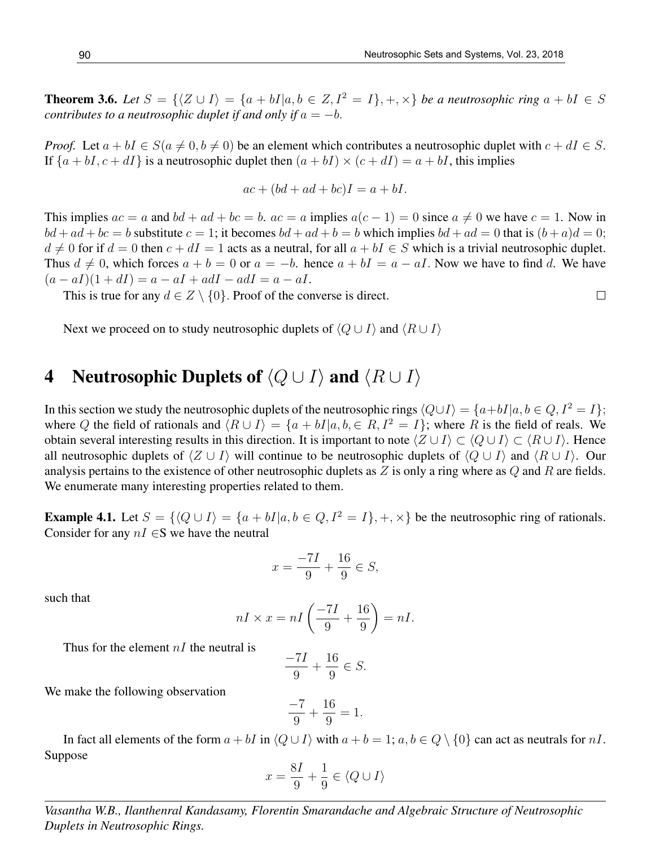**Theorem 3.6.** Let  $S = \{ \langle Z \cup I \rangle = \{a + bI | a, b \in Z, I^2 = I \}, +, \times \}$  be a neutrosophic ring  $a + bI \in S$ *contributes to a neutrosophic duplet if and only if*  $a = -b$ .

*Proof.* Let  $a + bI \in S(a \neq 0, b \neq 0)$  be an element which contributes a neutrosophic duplet with  $c + dI \in S$ . If  $\{a + bI, c + dI\}$  is a neutrosophic duplet then  $(a + bI) \times (c + dI) = a + bI$ , this implies

$$
ac + (bd + ad + bc)I = a + bI.
$$

This implies  $ac = a$  and  $bd + ad + bc = b$ .  $ac = a$  implies  $a(c - 1) = 0$  since  $a \neq 0$  we have  $c = 1$ . Now in  $bd + ad + bc = b$  substitute  $c = 1$ ; it becomes  $bd + ad + b = b$  which implies  $bd + ad = 0$  that is  $(b + a)d = 0$ ;  $d \neq 0$  for if  $d = 0$  then  $c + dI = 1$  acts as a neutral, for all  $a + bI \in S$  which is a trivial neutrosophic duplet. Thus  $d \neq 0$ , which forces  $a + b = 0$  or  $a = -b$ . hence  $a + bI = a - aI$ . Now we have to find d. We have  $(a - aI)(1 + dI) = a - aI + adI - adI = a - aI.$ 

This is true for any  $d \in Z \setminus \{0\}$ . Proof of the converse is direct.

Next we proceed on to study neutrosophic duplets of  $\langle Q \cup I \rangle$  and  $\langle R \cup I \rangle$ 

### 4 Neutrosophic Duplets of  $\langle Q \cup I \rangle$  and  $\langle R \cup I \rangle$

In this section we study the neutrosophic duplets of the neutrosophic rings  $\langle Q \cup I \rangle = \{a+bI|a, b \in Q, I^2 = I\};$ where Q the field of rationals and  $\langle R \cup I \rangle = \{a + bI | a, b \in R, I^2 = I\}$ ; where R is the field of reals. We obtain several interesting results in this direction. It is important to note  $\langle Z \cup I \rangle \subset \langle Q \cup I \rangle \subset \langle R \cup I \rangle$ . Hence all neutrosophic duplets of  $\langle Z \cup I \rangle$  will continue to be neutrosophic duplets of  $\langle Q \cup I \rangle$  and  $\langle R \cup I \rangle$ . Our analysis pertains to the existence of other neutrosophic duplets as  $Z$  is only a ring where as  $Q$  and  $R$  are fields. We enumerate many interesting properties related to them.

**Example 4.1.** Let  $S = \{ \langle Q \cup I \rangle = \{a + bI | a, b \in Q, I^2 = I \}, +, \times \}$  be the neutrosophic ring of rationals. Consider for any  $nI \in S$  we have the neutral

$$
x = \frac{-7I}{9} + \frac{16}{9} \in S,
$$

such that

$$
nI \times x = nI\left(\frac{-7I}{9} + \frac{16}{9}\right) = nI.
$$

Thus for the element  $nI$  the neutral is

$$
\frac{-7I}{9} + \frac{16}{9} \in S.
$$

We make the following observation

$$
\frac{-7}{9} + \frac{16}{9} = 1.
$$

In fact all elements of the form  $a + bI$  in  $\langle Q \cup I \rangle$  with  $a + b = 1$ ;  $a, b \in Q \setminus \{0\}$  can act as neutrals for nI. Suppose

$$
x = \frac{8I}{9} + \frac{1}{9} \in \langle Q \cup I \rangle
$$

*Vasantha W.B., Ilanthenral Kandasamy, Florentin Smarandache and Algebraic Structure of Neutrosophic Duplets in Neutrosophic Rings.*

 $\Box$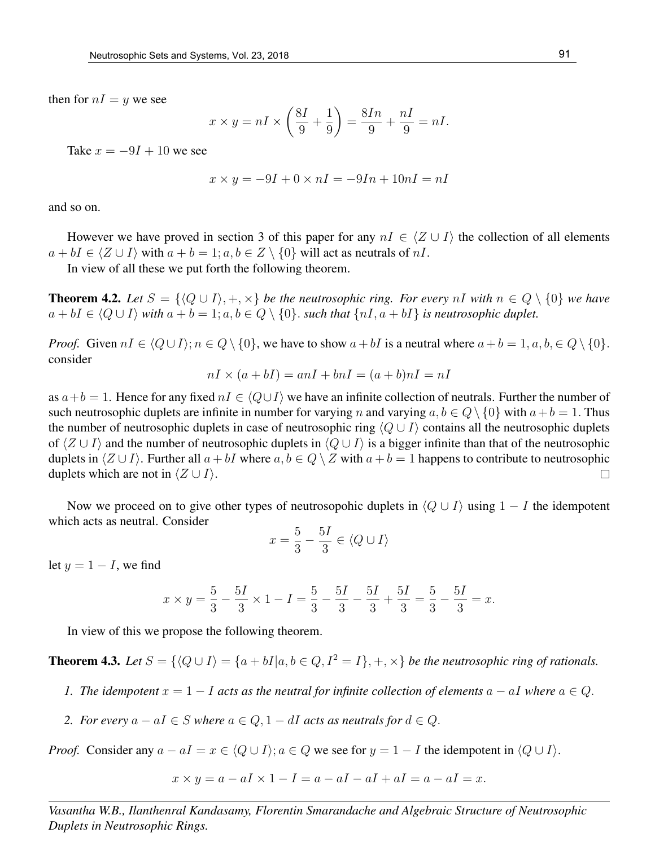then for  $nI = y$  we see

$$
x \times y = nI \times \left(\frac{8I}{9} + \frac{1}{9}\right) = \frac{8In}{9} + \frac{nI}{9} = nI.
$$

Take  $x = -9I + 10$  we see

$$
x \times y = -9I + 0 \times nI = -9In + 10nI = nI
$$

and so on.

However we have proved in section 3 of this paper for any  $nI \in \langle Z \cup I \rangle$  the collection of all elements  $a + bI \in \langle Z \cup I \rangle$  with  $a + b = 1$ ;  $a, b \in Z \setminus \{0\}$  will act as neutrals of nI.

In view of all these we put forth the following theorem.

**Theorem 4.2.** Let  $S = \{Q \cup I\}, +, \times\}$  be the neutrosophic ring. For every nI with  $n \in Q \setminus \{0\}$  we have  $a + bI \in \langle Q \cup I \rangle$  *with*  $a + b = 1$ ;  $a, b \in Q \setminus \{0\}$ . *such that*  $\{nI, a + bI\}$  *is neutrosophic duplet.* 

*Proof.* Given  $nI \in \langle Q \cup I \rangle; n \in Q \setminus \{0\}$ , we have to show  $a + bI$  is a neutral where  $a + b = 1, a, b \in Q \setminus \{0\}$ . consider

$$
nI \times (a + bI) = anI + bnI = (a + b)nI = nI
$$

as  $a+b=1$ . Hence for any fixed  $nI \in \langle Q\cup I\rangle$  we have an infinite collection of neutrals. Further the number of such neutrosophic duplets are infinite in number for varying n and varying  $a, b \in Q \setminus \{0\}$  with  $a + b = 1$ . Thus the number of neutrosophic duplets in case of neutrosophic ring  $\langle Q \cup I \rangle$  contains all the neutrosophic duplets of  $\langle Z \cup I \rangle$  and the number of neutrosophic duplets in  $\langle Q \cup I \rangle$  is a bigger infinite than that of the neutrosophic duplets in  $\langle Z \cup I \rangle$ . Further all  $a + bI$  where  $a, b \in Q \setminus Z$  with  $a + b = 1$  happens to contribute to neutrosophic duplets which are not in  $\langle Z \cup I \rangle$ .  $\Box$ 

Now we proceed on to give other types of neutrosopohic duplets in  $\langle Q \cup I \rangle$  using  $1 - I$  the idempotent which acts as neutral. Consider

$$
x=\frac{5}{3}-\frac{5I}{3}\in \langle Q\cup I\rangle
$$

let  $y = 1 - I$ , we find

$$
x \times y = \frac{5}{3} - \frac{5I}{3} \times 1 - I = \frac{5}{3} - \frac{5I}{3} - \frac{5I}{3} + \frac{5I}{3} = \frac{5}{3} - \frac{5I}{3} = x.
$$

In view of this we propose the following theorem.

**Theorem 4.3.** *Let*  $S = \{Q \cup I\} = \{a + bI | a, b \in Q, I^2 = I\}, +, \times\}$  *be the neutrosophic ring of rationals.* 

- *1. The idempotent*  $x = 1 I$  *acts as the neutral for infinite collection of elements*  $a aI$  *where*  $a \in Q$ *.*
- *2. For every*  $a aI \in S$  *where*  $a \in Q$ ,  $1 dI$  *acts as neutrals for*  $d \in Q$ *.*

*Proof.* Consider any  $a - aI = x \in \langle Q \cup I \rangle$ ;  $a \in Q$  we see for  $y = 1 - I$  the idempotent in  $\langle Q \cup I \rangle$ .

$$
x \times y = a - aI \times 1 - I = a - aI - aI + aI = a - aI = x.
$$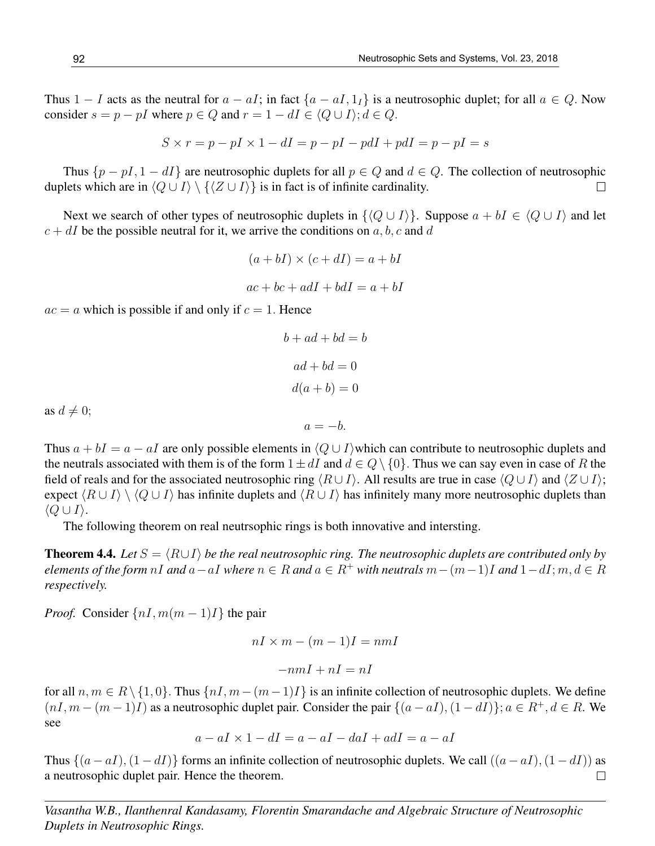Thus 1 − I acts as the neutral for  $a - aI$ ; in fact  $\{a - aI, 1_I\}$  is a neutrosophic duplet; for all  $a \in Q$ . Now consider  $s = p - pI$  where  $p \in Q$  and  $r = 1 - dI \in \langle Q \cup I \rangle$ ;  $d \in Q$ .

$$
S \times r = p - pI \times 1 - dI = p - pI - pdI + pdI = p - pI = s
$$

Thus  $\{p - pI, 1 - dI\}$  are neutrosophic duplets for all  $p \in Q$  and  $d \in Q$ . The collection of neutrosophic duplets which are in  $\langle Q \cup I \rangle \setminus \{ \langle Z \cup I \rangle \}$  is in fact is of infinite cardinality.  $\Box$ 

Next we search of other types of neutrosophic duplets in  $\{\langle Q \cup I \rangle\}$ . Suppose  $a + bI \in \langle Q \cup I \rangle$  and let  $c + dI$  be the possible neutral for it, we arrive the conditions on a, b, c and d

$$
(a + bI) \times (c + dI) = a + bI
$$

$$
ac + bc + adI + bdI = a + bI
$$

 $ac = a$  which is possible if and only if  $c = 1$ . Hence

$$
b + ad + bd = b
$$

$$
ad + bd = 0
$$

$$
d(a + b) = 0
$$

as  $d \neq 0$ ;

Thus  $a + bI = a - aI$  are only possible elements in  $\langle Q \cup I \rangle$  which can contribute to neutrosophic duplets and the neutrals associated with them is of the form  $1 \pm dI$  and  $d \in Q \setminus \{0\}$ . Thus we can say even in case of R the field of reals and for the associated neutrosophic ring  $\langle R \cup I \rangle$ . All results are true in case  $\langle Q \cup I \rangle$  and  $\langle Z \cup I \rangle$ ; expect  $\langle R \cup I \rangle \setminus \langle Q \cup I \rangle$  has infinite duplets and  $\langle R \cup I \rangle$  has infinitely many more neutrosophic duplets than  $\langle Q \cup I \rangle$ .

 $a = -b$ .

The following theorem on real neutrsophic rings is both innovative and intersting.

**Theorem 4.4.** *Let*  $S = \langle R \cup I \rangle$  *be the real neutrosophic ring. The neutrosophic duplets are contributed only by elements of the form* nI and  $a - aI$  *where*  $n \in R$  *and*  $a \in R^+$  *with neutrals*  $m - (m-1)I$  *and*  $1 - dI$ ;  $m, d \in R$ *respectively.*

*Proof.* Consider  $\{nI, m(m-1)I\}$  the pair

$$
nI \times m - (m-1)I = nmI
$$

$$
-nmI + nI = nI
$$

for all  $n, m \in R \setminus \{1, 0\}$ . Thus  $\{nI, m-(m-1)I\}$  is an infinite collection of neutrosophic duplets. We define  $(nI, m - (m-1)I)$  as a neutrosophic duplet pair. Consider the pair  $\{(a - aI), (1 - dI)\}; a \in R^+, d \in R$ . We see

$$
a - aI \times 1 - dI = a - aI - daI + adI = a - aI
$$

Thus  $\{(a - aI), (1 - dI)\}\)$  forms an infinite collection of neutrosophic duplets. We call  $((a - aI), (1 - dI))$  as a neutrosophic duplet pair. Hence the theorem.  $\Box$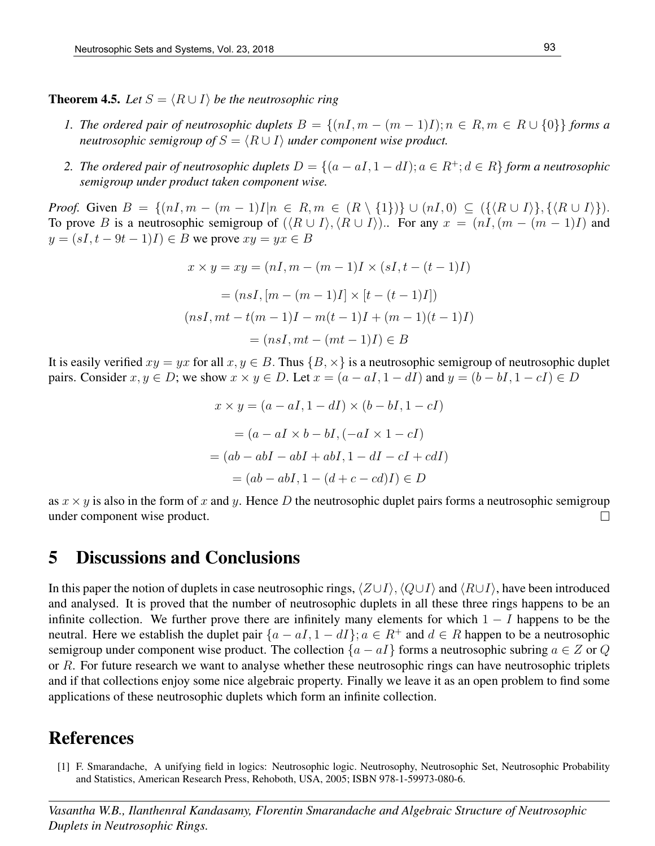**Theorem 4.5.** *Let*  $S = \langle R \cup I \rangle$  *be the neutrosophic ring* 

- *1. The ordered pair of neutrosophic duplets*  $B = \{(nI, m (m 1)I); n \in R, m \in R \cup \{0\}\}\)$  *forms a neutrosophic semigroup of*  $S = \langle R \cup I \rangle$  *under component wise product.*
- *2. The ordered pair of neutrosophic duplets*  $D = \{(a aI, 1 dI); a ∈ R^+; d ∈ R\}$  *form a neutrosophic semigroup under product taken component wise.*

*Proof.* Given  $B = \{(nI, m - (m - 1)I|n \in R, m \in (R \setminus \{1\})\} \cup (nI, 0) \subseteq (\{\langle R \cup I \rangle\}, \{\langle R \cup I \rangle\}).$ To prove B is a neutrosophic semigroup of  $(\langle R \cup I \rangle, \langle R \cup I \rangle)$ .. For any  $x = (nI, (m - (m - 1)I))$  and  $y = (sI, t - 9t - 1)I) \in B$  we prove  $xy = yx \in B$ 

$$
x \times y = xy = (nI, m - (m - 1)I \times (sI, t - (t - 1)I)
$$

$$
= (nsI, [m - (m - 1)I] \times [t - (t - 1)I])
$$

$$
(nsI, mt - t(m - 1)I - m(t - 1)I + (m - 1)(t - 1)I)
$$

$$
= (nsI, mt - (mt - 1)I) \in B
$$

It is easily verified  $xy = yx$  for all  $x, y \in B$ . Thus  $\{B, \times\}$  is a neutrosophic semigroup of neutrosophic duplet pairs. Consider  $x, y \in D$ ; we show  $x \times y \in D$ . Let  $x = (a - aI, 1 - dI)$  and  $y = (b - bI, 1 - cI) \in D$ 

$$
x \times y = (a - aI, 1 - dI) \times (b - bI, 1 - cI)
$$

$$
= (a - aI \times b - bI, (-aI \times 1 - cI)
$$

$$
= (ab - abI - abI + abI, 1 - dI - cI + c dI)
$$

$$
= (ab - abI, 1 - (d + c - c d)I) \in D
$$

as  $x \times y$  is also in the form of x and y. Hence D the neutrosophic duplet pairs forms a neutrosophic semigroup under component wise product.  $\Box$ 

#### 5 Discussions and Conclusions

In this paper the notion of duplets in case neutrosophic rings,  $\langle Z \cup I \rangle$ ,  $\langle Q \cup I \rangle$  and  $\langle R \cup I \rangle$ , have been introduced and analysed. It is proved that the number of neutrosophic duplets in all these three rings happens to be an infinite collection. We further prove there are infinitely many elements for which  $1 - I$  happens to be the neutral. Here we establish the duplet pair  $\{a - aI, 1 - dI\}$ ;  $a \in \mathbb{R}^+$  and  $d \in \mathbb{R}$  happen to be a neutrosophic semigroup under component wise product. The collection  ${a - aI}$  forms a neutrosophic subring  $a \in Z$  or Q or R. For future research we want to analyse whether these neutrosophic rings can have neutrosophic triplets and if that collections enjoy some nice algebraic property. Finally we leave it as an open problem to find some applications of these neutrosophic duplets which form an infinite collection.

# References

[1] F. Smarandache, A unifying field in logics: Neutrosophic logic. Neutrosophy, Neutrosophic Set, Neutrosophic Probability and Statistics, American Research Press, Rehoboth, USA, 2005; ISBN 978-1-59973-080-6.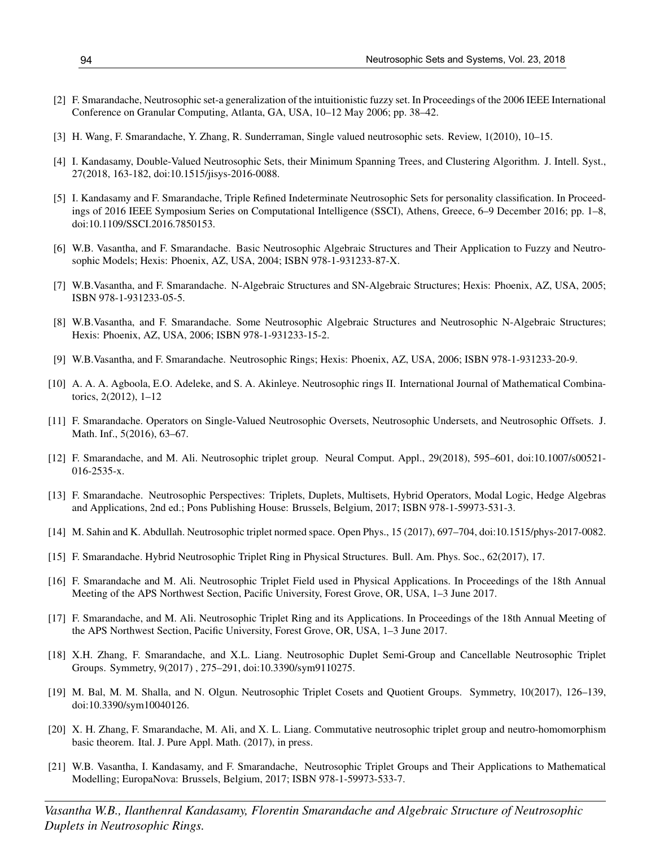- [2] F. Smarandache, Neutrosophic set-a generalization of the intuitionistic fuzzy set. In Proceedings of the 2006 IEEE International Conference on Granular Computing, Atlanta, GA, USA, 10–12 May 2006; pp. 38–42.
- [3] H. Wang, F. Smarandache, Y. Zhang, R. Sunderraman, Single valued neutrosophic sets. Review, 1(2010), 10–15.
- [4] I. Kandasamy, Double-Valued Neutrosophic Sets, their Minimum Spanning Trees, and Clustering Algorithm. J. Intell. Syst., 27(2018, 163-182, doi:10.1515/jisys-2016-0088.
- [5] I. Kandasamy and F. Smarandache, Triple Refined Indeterminate Neutrosophic Sets for personality classification. In Proceedings of 2016 IEEE Symposium Series on Computational Intelligence (SSCI), Athens, Greece, 6–9 December 2016; pp. 1–8, doi:10.1109/SSCI.2016.7850153.
- [6] W.B. Vasantha, and F. Smarandache. Basic Neutrosophic Algebraic Structures and Their Application to Fuzzy and Neutrosophic Models; Hexis: Phoenix, AZ, USA, 2004; ISBN 978-1-931233-87-X.
- [7] W.B.Vasantha, and F. Smarandache. N-Algebraic Structures and SN-Algebraic Structures; Hexis: Phoenix, AZ, USA, 2005; ISBN 978-1-931233-05-5.
- [8] W.B.Vasantha, and F. Smarandache. Some Neutrosophic Algebraic Structures and Neutrosophic N-Algebraic Structures; Hexis: Phoenix, AZ, USA, 2006; ISBN 978-1-931233-15-2.
- [9] W.B.Vasantha, and F. Smarandache. Neutrosophic Rings; Hexis: Phoenix, AZ, USA, 2006; ISBN 978-1-931233-20-9.
- [10] A. A. A. Agboola, E.O. Adeleke, and S. A. Akinleye. Neutrosophic rings II. International Journal of Mathematical Combinatorics, 2(2012), 1–12
- [11] F. Smarandache. Operators on Single-Valued Neutrosophic Oversets, Neutrosophic Undersets, and Neutrosophic Offsets. J. Math. Inf., 5(2016), 63–67.
- [12] F. Smarandache, and M. Ali. Neutrosophic triplet group. Neural Comput. Appl., 29(2018), 595–601, doi:10.1007/s00521- 016-2535-x.
- [13] F. Smarandache. Neutrosophic Perspectives: Triplets, Duplets, Multisets, Hybrid Operators, Modal Logic, Hedge Algebras and Applications, 2nd ed.; Pons Publishing House: Brussels, Belgium, 2017; ISBN 978-1-59973-531-3.
- [14] M. Sahin and K. Abdullah. Neutrosophic triplet normed space. Open Phys., 15 (2017), 697–704, doi:10.1515/phys-2017-0082.
- [15] F. Smarandache. Hybrid Neutrosophic Triplet Ring in Physical Structures. Bull. Am. Phys. Soc., 62(2017), 17.
- [16] F. Smarandache and M. Ali. Neutrosophic Triplet Field used in Physical Applications. In Proceedings of the 18th Annual Meeting of the APS Northwest Section, Pacific University, Forest Grove, OR, USA, 1–3 June 2017.
- [17] F. Smarandache, and M. Ali. Neutrosophic Triplet Ring and its Applications. In Proceedings of the 18th Annual Meeting of the APS Northwest Section, Pacific University, Forest Grove, OR, USA, 1–3 June 2017.
- [18] X.H. Zhang, F. Smarandache, and X.L. Liang. Neutrosophic Duplet Semi-Group and Cancellable Neutrosophic Triplet Groups. Symmetry, 9(2017) , 275–291, doi:10.3390/sym9110275.
- [19] M. Bal, M. M. Shalla, and N. Olgun. Neutrosophic Triplet Cosets and Quotient Groups. Symmetry, 10(2017), 126–139, doi:10.3390/sym10040126.
- [20] X. H. Zhang, F. Smarandache, M. Ali, and X. L. Liang. Commutative neutrosophic triplet group and neutro-homomorphism basic theorem. Ital. J. Pure Appl. Math. (2017), in press.
- [21] W.B. Vasantha, I. Kandasamy, and F. Smarandache, Neutrosophic Triplet Groups and Their Applications to Mathematical Modelling; EuropaNova: Brussels, Belgium, 2017; ISBN 978-1-59973-533-7.